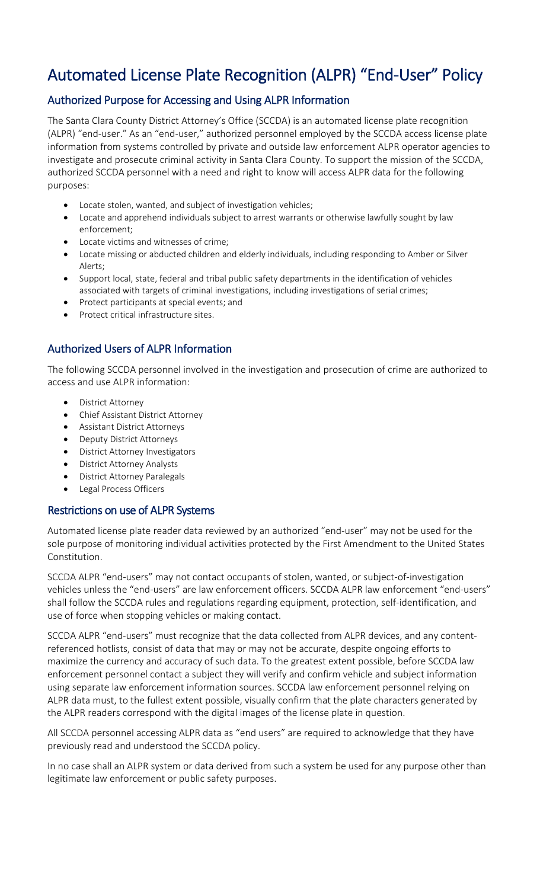# Automated License Plate Recognition (ALPR) "End-User" Policy

# Authorized Purpose for Accessing and Using ALPR Information

The Santa Clara County District Attorney's Office (SCCDA) is an automated license plate recognition (ALPR) "end-user." As an "end-user," authorized personnel employed by the SCCDA access license plate information from systems controlled by private and outside law enforcement ALPR operator agencies to investigate and prosecute criminal activity in Santa Clara County. To support the mission of the SCCDA, authorized SCCDA personnel with a need and right to know will access ALPR data for the following purposes:

- Locate stolen, wanted, and subject of investigation vehicles;
- Locate and apprehend individuals subject to arrest warrants or otherwise lawfully sought by law enforcement;
- Locate victims and witnesses of crime;
- Locate missing or abducted children and elderly individuals, including responding to Amber or Silver Alerts;
- Support local, state, federal and tribal public safety departments in the identification of vehicles associated with targets of criminal investigations, including investigations of serial crimes;
- Protect participants at special events; and
- Protect critical infrastructure sites.

## Authorized Users of ALPR Information

The following SCCDA personnel involved in the investigation and prosecution of crime are authorized to access and use ALPR information:

- District Attorney
- Chief Assistant District Attorney
- Assistant District Attorneys
- Deputy District Attorneys
- District Attorney Investigators
- District Attorney Analysts
- District Attorney Paralegals
- Legal Process Officers

#### Restrictions on use of ALPR Systems

Automated license plate reader data reviewed by an authorized "end-user" may not be used for the sole purpose of monitoring individual activities protected by the First Amendment to the United States Constitution.

SCCDA ALPR "end-users" may not contact occupants of stolen, wanted, or subject-of-investigation vehicles unless the "end-users" are law enforcement officers. SCCDA ALPR law enforcement "end-users" shall follow the SCCDA rules and regulations regarding equipment, protection, self-identification, and use of force when stopping vehicles or making contact.

SCCDA ALPR "end-users" must recognize that the data collected from ALPR devices, and any contentreferenced hotlists, consist of data that may or may not be accurate, despite ongoing efforts to maximize the currency and accuracy of such data. To the greatest extent possible, before SCCDA law enforcement personnel contact a subject they will verify and confirm vehicle and subject information using separate law enforcement information sources. SCCDA law enforcement personnel relying on ALPR data must, to the fullest extent possible, visually confirm that the plate characters generated by the ALPR readers correspond with the digital images of the license plate in question.

All SCCDA personnel accessing ALPR data as "end users" are required to acknowledge that they have previously read and understood the SCCDA policy.

In no case shall an ALPR system or data derived from such a system be used for any purpose other than legitimate law enforcement or public safety purposes.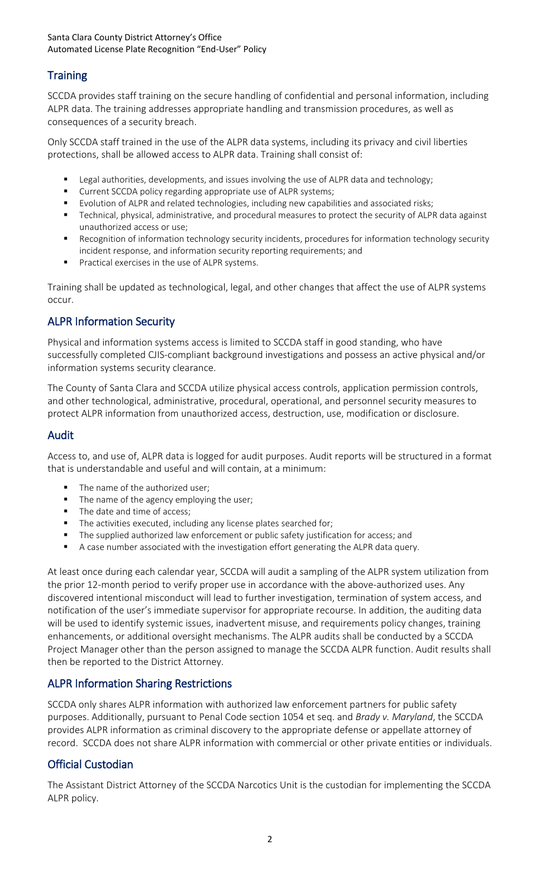#### Santa Clara County District Attorney's Office Automated License Plate Recognition "End-User" Policy

# **Training**

SCCDA provides staff training on the secure handling of confidential and personal information, including ALPR data. The training addresses appropriate handling and transmission procedures, as well as consequences of a security breach.

Only SCCDA staff trained in the use of the ALPR data systems, including its privacy and civil liberties protections, shall be allowed access to ALPR data. Training shall consist of:

- Legal authorities, developments, and issues involving the use of ALPR data and technology;
- Current SCCDA policy regarding appropriate use of ALPR systems;
- **Examble 1** Evolution of ALPR and related technologies, including new capabilities and associated risks;
- Technical, physical, administrative, and procedural measures to protect the security of ALPR data against unauthorized access or use;
- **Recognition of information technology security incidents, procedures for information technology security** incident response, and information security reporting requirements; and
- **Practical exercises in the use of ALPR systems.**

Training shall be updated as technological, legal, and other changes that affect the use of ALPR systems occur.

## ALPR Information Security

Physical and information systems access is limited to SCCDA staff in good standing, who have successfully completed CJIS-compliant background investigations and possess an active physical and/or information systems security clearance.

The County of Santa Clara and SCCDA utilize physical access controls, application permission controls, and other technological, administrative, procedural, operational, and personnel security measures to protect ALPR information from unauthorized access, destruction, use, modification or disclosure.

#### Audit

Access to, and use of, ALPR data is logged for audit purposes. Audit reports will be structured in a format that is understandable and useful and will contain, at a minimum:

- The name of the authorized user;
- The name of the agency employing the user;
- The date and time of access;
- The activities executed, including any license plates searched for;
- The supplied authorized law enforcement or public safety justification for access; and
- A case number associated with the investigation effort generating the ALPR data query.

At least once during each calendar year, SCCDA will audit a sampling of the ALPR system utilization from the prior 12-month period to verify proper use in accordance with the above-authorized uses. Any discovered intentional misconduct will lead to further investigation, termination of system access, and notification of the user's immediate supervisor for appropriate recourse. In addition, the auditing data will be used to identify systemic issues, inadvertent misuse, and requirements policy changes, training enhancements, or additional oversight mechanisms. The ALPR audits shall be conducted by a SCCDA Project Manager other than the person assigned to manage the SCCDA ALPR function. Audit results shall then be reported to the District Attorney.

#### ALPR Information Sharing Restrictions

SCCDA only shares ALPR information with authorized law enforcement partners for public safety purposes. Additionally, pursuant to Penal Code section 1054 et seq. and *Brady v. Maryland*, the SCCDA provides ALPR information as criminal discovery to the appropriate defense or appellate attorney of record. SCCDA does not share ALPR information with commercial or other private entities or individuals.

#### Official Custodian

The Assistant District Attorney of the SCCDA Narcotics Unit is the custodian for implementing the SCCDA ALPR policy.